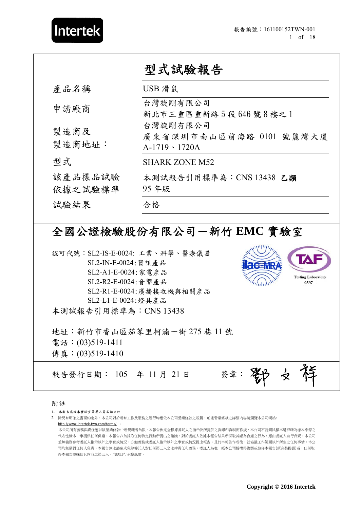

|                    | 型式試驗報告                                                      |
|--------------------|-------------------------------------------------------------|
| 產品名稱               | USB 滑鼠                                                      |
| 申請廠商               | 台灣旋剛有限公司<br>新北市三重區重新路5段646號8樓之1                             |
| 製造商及<br>製造商地址:     | 台灣旋剛有限公司<br>廣東省深圳市南山區前海路 0101 號麗灣大廈<br>$A-1719 \cdot 1720A$ |
| 型式                 | <b>SHARK ZONE M52</b>                                       |
| 該產品樣品試驗<br>依據之試驗標準 | 本測試報告引用標準為: CNS 13438 乙類<br>95年版                            |
| 試驗結果               | 合格                                                          |

# 全國公證檢驗股份有限公司-新竹 **EMC** 實驗室

認可代號:SL2-IS-E-0024: 工業、科學、醫療儀器 SL2-IN-E-0024:資訊產品 SL2-A1-E-0024:家電產品 **Testing Laboratory**  SL2-R2-E-0024:音響產品 **0597** SL2-R1-E-0024:廣播接收機與相關產品 SL2-L1-E-0024:燈具產品 本測試報告引用標準為:CNS 13438 地址:新竹市香山區茄苳里柯湳一街 275 巷 11 號 電話:(03)519-1411 傳真: (03)519-1410 報告發行日期: 105 年 11 月 21 日 簽章: ノ<br>タ

#### 附註

1.. 本報告需經本實驗室簽署人簽名始生效

2. 除另有明確之書面約定外,本公司對於所有工作及服務之履行均應依本公司營業條款之規範,前述營業條款之詳細內容請瀏覽本公司網站: http://www.intertek-twn.com/terms/ 。

本公司所有義務與責任應以該營業條款中所規範者為限。本報告係完全根據委託人之指示及所提供之資訊和資料而作成,本公司不就測試樣本是否確為樣本來源之 代表性樣本一事提供任何保證。本報告非為採取任何特定行動所提出之建議,對於委託人依據本報告結果所採取其認為合適之行為,應由委託人自行負責。本公司 並無義務參考委託人指示以外之事實或情況,亦無義務就委託人指示以外之事實或情況提出報告;且於本報告作成後,就協議工作範圍以外所生之任何事情,本公 司均無需對任何人負責。本報告無法豁免或免除委託人對任何第三人之法律責任和義務。委託人為唯一經本公司授權得複製或發佈本報告(須完整揭露)者,任何取 得本報告並採信其內容之第三人,均應自行承擔風險。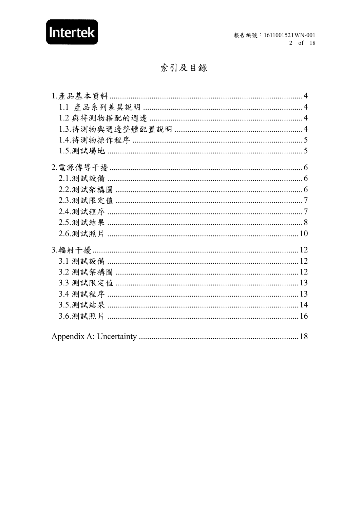

## 索引及目錄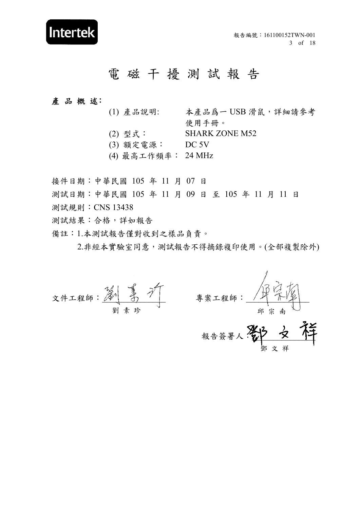鄧 文 祥

# 電 磁 干 擾 測 試 報 告

#### 產 品 概 述:

- (1) 產品說明: 本產品爲一 USB 滑鼠,詳細請參考 使用手冊。
- (2) 型式: SHARK ZONE M52
- (3) 額定電源: DC 5V
- (4) 最高工作頻率: 24 MHz
- 接件日期:中華民國 105 年 11 月 07 日
- 測試日期:中華民國 105 年 11 月 09 日 至 105 年 11 月 11 日
- 測試規則:CNS 13438
- 測試結果:合格,詳如報告
- 備註:1.本測試報告僅對收到之樣品負責。

2.非經本實驗室同意,測試報告不得摘錄複印使用。(全部複製除外)

文件工程師:\_\_\_\_\_\_\_\_\_\_\_\_\_\_\_ 專案工程師:\_\_\_\_\_\_\_\_\_\_\_\_\_\_\_ 報告簽署人:27 又 牛 劉素珍 すいしん かいかん アンバイ のうちょう タイプン のうちょう こうしょう こうしょう こうしゃ のうちょう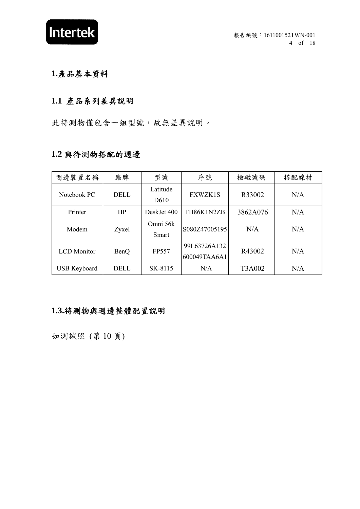

## **1.**產品基本資料

## **1.1** 產品系列差異說明

此待測物僅包含一組型號,故無差異說明。

#### **1.2** 與待測物搭配的週邊

| 週邊裝置名稱              | 廠牌          | 型號                           | 序號                           | 檢磁號碼     | 搭配線材 |
|---------------------|-------------|------------------------------|------------------------------|----------|------|
| Notebook PC         | <b>DELL</b> | Latitude<br>D <sub>610</sub> | <b>FXWZK1S</b>               | R33002   | N/A  |
| Printer             | HP          | DeskJet 400                  | TH86K1N2ZB                   | 3862A076 | N/A  |
| Modem               | Zyxel       | Omni 56k<br>Smart            | S080Z47005195                | N/A      | N/A  |
| <b>LCD</b> Monitor  | BenQ        | FP557                        | 99L63726A132<br>600049TAA6A1 | R43002   | N/A  |
| <b>USB Keyboard</b> | <b>DELL</b> | SK-8115                      | N/A                          | T3A002   | N/A  |

## **1.3.**待測物與週邊整體配置說明

如測試照 (第 10 頁)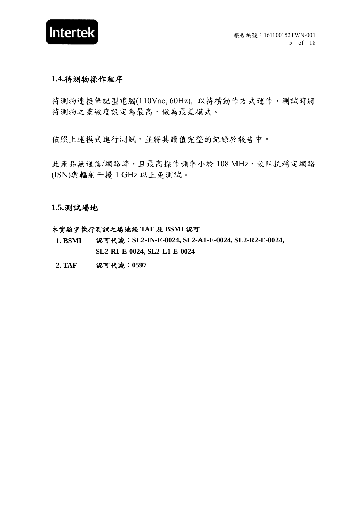

#### **1.4.**待測物操作程序

待測物連接筆記型電腦(110Vac, 60Hz), 以持續動作方式運作,測試時將 待測物之靈敏度設定為最高,做為最差模式。

依照上述模式進行測試,並將其讀值完整的紀錄於報告中。

此產品無通信/網路埠,且最高操作頻率小於 108 MHz,故阻抗穩定網路 (ISN)與輻射干擾 1 GHz 以上免測試。

**1.5.**測試場地

#### 本實驗室執行測試之場地經 **TAF** 及 **BSMI** 認可

- 1. BSMI 認可代號: SL2-IN-E-0024, SL2-A1-E-0024, SL2-R2-E-0024, **SL2-R1-E-0024, SL2-L1-E-0024**
- **2. TAF** 認可代號:**0597**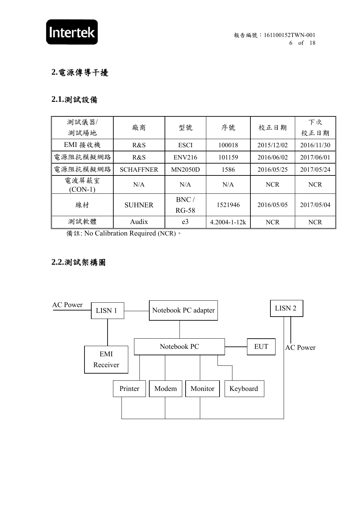

## **2.**電源傳導干擾

## **2.1.**測試設備

| 測試儀器/<br>測試場地      | 廠商               | 型號             | 序號                 | 校正日期       | 下次<br>校正日期 |
|--------------------|------------------|----------------|--------------------|------------|------------|
| EMI 接收機            | R&S              | <b>ESCI</b>    | 100018             | 2015/12/02 | 2016/11/30 |
| 電源阻抗模擬網路           | R&S              | <b>ENV216</b>  | 101159             | 2016/06/02 | 2017/06/01 |
| 電源阻抗模擬網路           | <b>SCHAFFNER</b> | <b>MN2050D</b> | 1586               | 2016/05/25 | 2017/05/24 |
| 電波屏蔽室<br>$(CON-1)$ | N/A              | N/A            | N/A                | <b>NCR</b> | <b>NCR</b> |
| 線材                 | <b>SUHNER</b>    | BNC/           | 1521946            | 2016/05/05 | 2017/05/04 |
|                    |                  | $RG-58$        |                    |            |            |
| 測試軟體               | Audix            | e <sub>3</sub> | $4.2004 - 1 - 12k$ | <b>NCR</b> | <b>NCR</b> |

備註: No Calibration Required (NCR)。

## **2.2.**測試架構圖

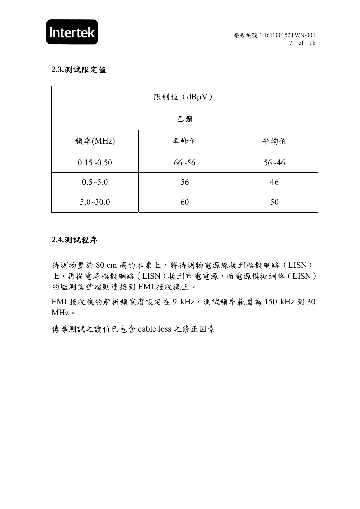

#### **2.3.**測試限定值

| 限制值 (dBµV)    |           |           |  |  |  |
|---------------|-----------|-----------|--|--|--|
| 乙類            |           |           |  |  |  |
| 頻率(MHz)       | 準峰值       | 平均值       |  |  |  |
| $0.15 - 0.50$ | $66 - 56$ | $56 - 46$ |  |  |  |
| $0.5 - 5.0$   | 56        | 46        |  |  |  |
| $5.0 - 30.0$  | 60        | 50        |  |  |  |

#### **2.4.**測試程序

待測物置於80 cm 高的木桌上,將待測物電源線接到模擬網路(LISN) 上,再從電源模擬網路(LISN)接到市電電源,而電源模擬網路(LISN) 的監測信號端則連接到 EMI 接收機上。

EMI 接收機的解析頻寬度設定在 9 kHz,測試頻率範圍為 150 kHz 到 30 MHz $\circ$ 

傳導測試之讀值已包含 cable loss 之修正因素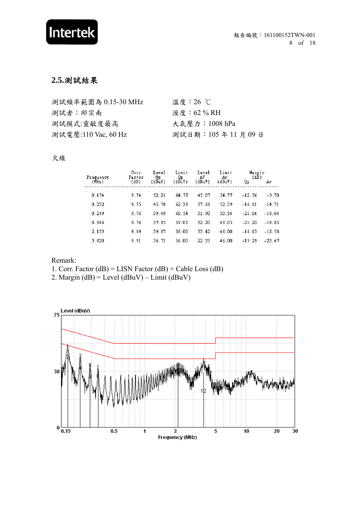# Intertek

## **2.5.**測試結果

| 測試頻率範圍為 0.15-30 MHz | 溫度: $26^\circ$ C |
|---------------------|------------------|
| 測試者:邱宗南             | 溼度 :62 % RH      |
| 測試模式:靈敏度最高          | 大氣壓力:1008 hPa    |
| 測試電壓:110 Vac, 60 Hz | 測試日期: 105年11月09日 |

#### 火線

| Frequency | Corr.<br>Factor | Level<br>Qp. | Limit<br>Qp. | Level<br>AV | Limit<br>Av | Margin<br>(dB) |          |
|-----------|-----------------|--------------|--------------|-------------|-------------|----------------|----------|
| (MHz)     | (dB)            | (dBuV)       | (dBuV)       | (dBuV)      | (dBuV)      | Qр             | Av.      |
| 0.174     | 9.74            | 52.21        | 64.77        | 45.07       | 54.77       | $-12.56$       | $-9.70$  |
| 0.232     | 9.75            | 45.78        | 62.39        | 37.68       | 52.39       | $-16.61$       | $-14.71$ |
| 0.289     | 9.76            | 39.49        | 60.54        | 31.90       | 50.54       | $-21.06$       | $-18.64$ |
| 0.346     | 9.76            | 37.85        | 59.05        | 32.20       | 49.05       | $-21.20$       | $-16.85$ |
| 2.133     | 9.89            | 39.87        | 56.00        | 33.42       | 46.00       | $-16.13$       | $-12.58$ |
| 3.820     | 9.91            | 36.71        | 56.00        | 22.33       | 46.00       | $-19.29$       | $-23.67$ |

#### Remark:

1. Corr. Factor (dB) = LISN Factor (dB) + Cable Loss (dB)

2. Margin (dB) = Level (dBuV) – Limit (dBuV)

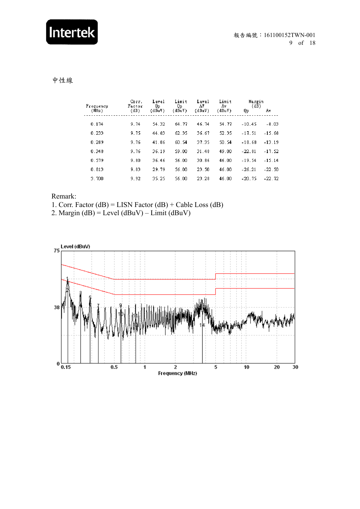# Intertek

#### 中性線

| Frequency | Corr.<br>Factor | Level<br>Qр | Limit<br>Qp. | Level<br>AV | Limit<br>Aν | Margin<br>(dB) |          |
|-----------|-----------------|-------------|--------------|-------------|-------------|----------------|----------|
| (MHz)     | (dB)            | (dBuV)      | (dBuV)       | (dBuV)      | (dBuV)      | Qр             | Αv       |
| 0.174     | 9.74            | 54.32       | 64.77        | 46.74       | 54.77       | $-10.45$       | $-8.03$  |
| 0.233     | 9.75            | 44.83       | 62.35        | 36.67       | 52.35       | $-17.51$       | $-15.68$ |
| 0.289     | 9.76            | 41.86       | 60.54        | 37.35       | 50.54       | $-18.68$       | $-13.19$ |
| 0.348     | 9.76            | 36.19       | 59.00        | 31.48       | 49.00       | $-22.81$       | $-17.52$ |
| 0.579     | 9.80            | 36.46       | 56.00        | 30.86       | 46.00       | $-19.54$       | $-15.14$ |
| 0.813     | 9.83            | 29.79       | 56.00        | 23.50       | 46.00       | $-26.21$       | $-22.50$ |
| 3.700     | 9.92            | 35.25       | 56.00        | 23.28       | 46.00       | $-20.75$       | $-22.72$ |

#### Remark:

1. Corr. Factor (dB) = LISN Factor (dB) + Cable Loss (dB)

2. Margin (dB) = Level (dBuV) – Limit (dBuV)

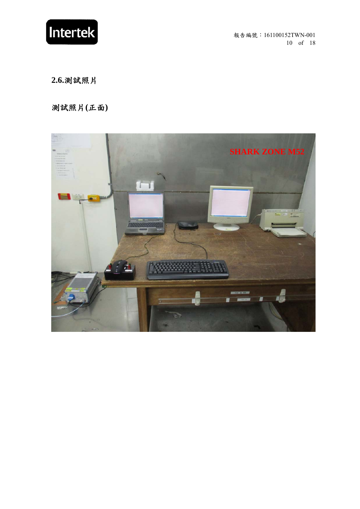

報告編號:161100152TWN-001 10 of 18

**2.6.**測試照片

測試照片**(**正面**)** 

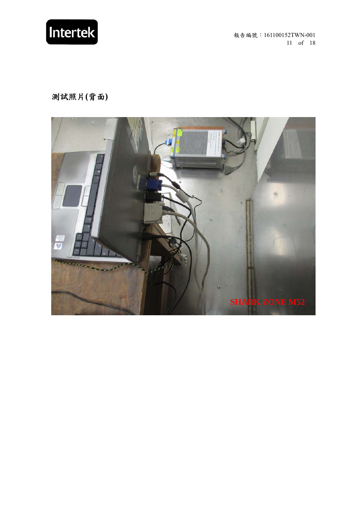

報告編號:161100152TWN-001 11 of 18

測試照片**(**背面**)** 

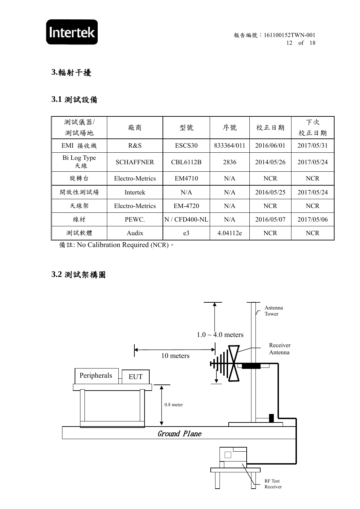

## **3.**輻射干擾

## **3.1** 測試設備

| 測試儀器/             | 廠商               | 型號              | 序號         | 校正日期       | 下次         |
|-------------------|------------------|-----------------|------------|------------|------------|
| 測試場地              |                  |                 |            |            | 校正日期       |
| 接收機<br>EMI        | R&S              | ESCS30          | 833364/011 | 2016/06/01 | 2017/05/31 |
| Bi Log Type<br>天線 | <b>SCHAFFNER</b> | <b>CBL6112B</b> | 2836       | 2014/05/26 | 2017/05/24 |
| 旋轉台               | Electro-Metrics  | EM4710          | N/A        | <b>NCR</b> | <b>NCR</b> |
| 開放性測試場            | Intertek         | N/A             | N/A        | 2016/05/25 | 2017/05/24 |
| 天線架               | Electro-Metrics  | EM-4720         | N/A        | <b>NCR</b> | <b>NCR</b> |
| 線材                | PEWC.            | N / CFD400-NL   | N/A        | 2016/05/07 | 2017/05/06 |
| 測試軟體              | Audix            | e3              | 4.04112e   | <b>NCR</b> | <b>NCR</b> |

備註: No Calibration Required (NCR)。

## **3.2** 測試架構圖

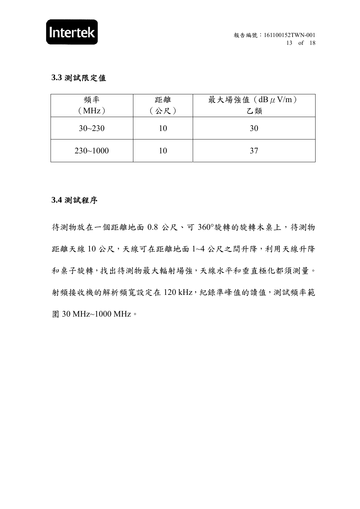

#### **3.3** 測試限定值

| 頻率           | 距離  | 最大場強值 $(dB \mu V/m)$ |
|--------------|-----|----------------------|
| (MHz)        | 公尺) | 乙類                   |
| $30 - 230$   | 10  | 30                   |
| $230 - 1000$ | 10  | 37                   |

#### **3.4** 測試程序

待測物放在一個距離地面 0.8 公尺、可 360°旋轉的旋轉木桌上,待測物 距離天線 10 公尺,天線可在距離地面 1~4 公尺之間升降,利用天線升降 和桌子旋轉,找出待測物最大輻射場強,天線水平和垂直極化都須測量。 射頻接收機的解析頻寬設定在 120 kHz,紀錄準峰值的讀值,測試頻率範 圍 30 MHz~1000 MHz。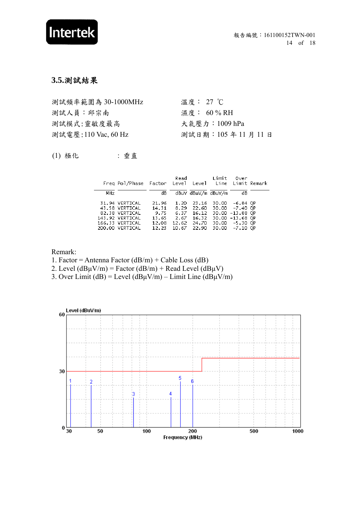

#### **3.5.**測試結果

| 測試頻率範圍為 30-1000MHz  | 溫度: 27 ℃         |
|---------------------|------------------|
| 測試人員:邱宗南            | 濕度: 60 % RH      |
| 測試模式:靈敏度最高          | 大氣壓力:1009 hPa    |
| 測試電壓:110 Vac, 60 Hz | 測試日期: 105年11月11日 |
|                     |                  |

(1) 極化 : 垂直

|     | Freg Pol/Phase Factor Level Level Line Limit Remark                                                         |                                                   | Read                                   |                                                         | Limit          | Over                                                                                           |  |
|-----|-------------------------------------------------------------------------------------------------------------|---------------------------------------------------|----------------------------------------|---------------------------------------------------------|----------------|------------------------------------------------------------------------------------------------|--|
| MHz |                                                                                                             | dВ                                                |                                        | dBuV dBuV/m dBuV/m                                      |                | dВ                                                                                             |  |
|     | 31.94 VERTICAL<br>43.58 VERTICAL<br>82.38 VERTICAL<br>143.92 VERTICAL<br>166.33 VERTICAL<br>200.00 VERTICAL | 21.96<br>14.31<br>9.75<br>13.65<br>12.08<br>12.23 | 1.20<br>8.29<br>6.37<br>12.62<br>10.67 | 23.16<br>22.60<br>16.12<br>2.67 16.32<br>24.70<br>22.90 | 30.00<br>30.00 | –6.84 QP<br>30.00 -7.40 QP<br>30.00 -13.88 QP<br>30.00 -13.68 QP<br>30.00 -5.30 QP<br>-7.10 OP |  |

Remark:

1. Factor = Antenna Factor  $(dB/m)$  + Cable Loss  $(dB)$ 

2. Level ( $dB\mu V/m$ ) = Factor ( $dB/m$ ) + Read Level ( $dB\mu V$ )

3. Over Limit (dB) = Level (dB $\mu$ V/m) – Limit Line (dB $\mu$ V/m)

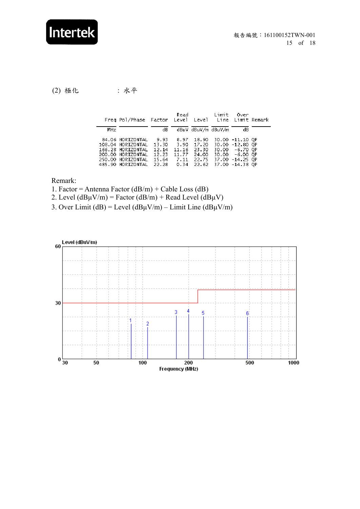# Intertek

(2) 極化 : 水平

 $\overline{a}$ 

|     | Freg Pol/Phase Factor Level Level Line Limit Remark                                                                       |                                                   |                                | Read Limit                                                                     |                 | Over                                                                   |  |
|-----|---------------------------------------------------------------------------------------------------------------------------|---------------------------------------------------|--------------------------------|--------------------------------------------------------------------------------|-----------------|------------------------------------------------------------------------|--|
| MHz |                                                                                                                           | dB.                                               |                                | dBuV dBuV/m dBuV/m                                                             |                 | dВ                                                                     |  |
|     | 84.06 HORIZONTAL<br>108.04 HORIZONTAL<br>166.28 HORIZONTAL<br>200.00 HORIZONTAL<br>250.00 HORIZONTAL<br>485.90 HORIZONTAL | 9.93<br>13.30<br>12.14<br>12.23<br>15.64<br>22.28 | 8.97<br>3.90<br>11.16<br>11.77 | 18.90<br>17.20<br>23.30<br>24.00<br>7.11 22.75 37.00 -14.25 QP<br>$0.34$ 22.62 | 37.00 -14.38 OP | 30.00 -11.10 QP<br>30.00 -12.80 QP<br>30.00 -6.70 OP<br>30.00 -6.00 QP |  |

Remark:

- 1. Factor = Antenna Factor  $(dB/m)$  + Cable Loss  $(dB)$
- 2. Level  $(dB\mu V/m)$  = Factor  $(dB/m)$  + Read Level  $(dB\mu V)$
- 3. Over Limit (dB) = Level (dB $\mu$ V/m) Limit Line (dB $\mu$ V/m)

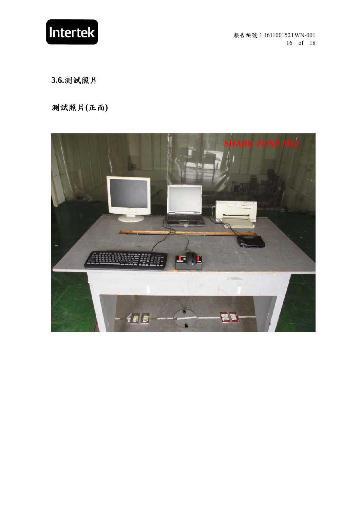

報告編號:161100152TWN-001 16 of 18

**3.6.**測試照片

測試照片**(**正面**)** 

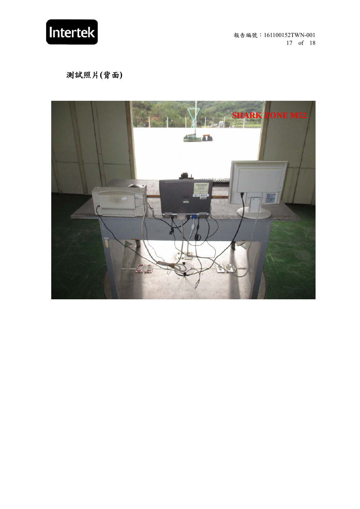

報告編號:161100152TWN-001 17 of 18

測試照片**(**背面**)**